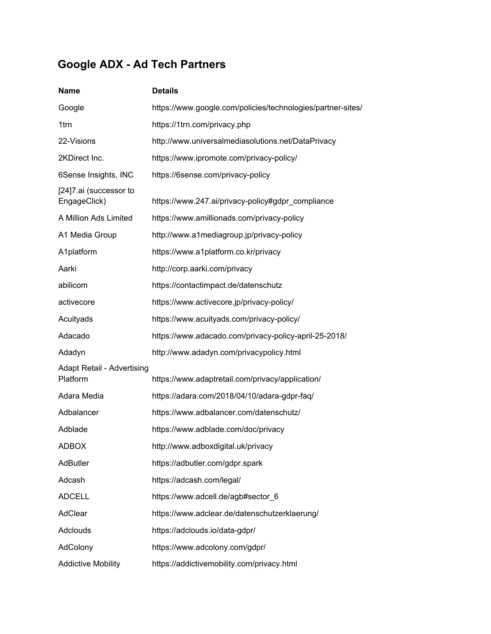## **Google ADX - Ad Tech Partners**

| <b>Name</b>                                   | <b>Details</b>                                              |
|-----------------------------------------------|-------------------------------------------------------------|
| Google                                        | https://www.google.com/policies/technologies/partner-sites/ |
| 1trn                                          | https://1trn.com/privacy.php                                |
| 22-Visions                                    | http://www.universalmediasolutions.net/DataPrivacy          |
| 2KDirect Inc.                                 | https://www.ipromote.com/privacy-policy/                    |
| 6Sense Insights, INC                          | https://6sense.com/privacy-policy                           |
| [24]7.ai (successor to<br>EngageClick)        | https://www.247.ai/privacy-policy#gdpr_compliance           |
| A Million Ads Limited                         | https://www.amillionads.com/privacy-policy                  |
| A1 Media Group                                | http://www.a1mediagroup.jp/privacy-policy                   |
| A1platform                                    | https://www.a1platform.co.kr/privacy                        |
| Aarki                                         | http://corp.aarki.com/privacy                               |
| abilicom                                      | https://contactimpact.de/datenschutz                        |
| activecore                                    | https://www.activecore.jp/privacy-policy/                   |
| Acuityads                                     | https://www.acuityads.com/privacy-policy/                   |
| Adacado                                       | https://www.adacado.com/privacy-policy-april-25-2018/       |
| Adadyn                                        | http://www.adadyn.com/privacypolicy.html                    |
| <b>Adapt Retail - Advertising</b><br>Platform | https://www.adaptretail.com/privacy/application/            |
| Adara Media                                   | https://adara.com/2018/04/10/adara-gdpr-faq/                |
| Adbalancer                                    | https://www.adbalancer.com/datenschutz/                     |
| Adblade                                       | https://www.adblade.com/doc/privacy                         |
| <b>ADBOX</b>                                  | http://www.adboxdigital.uk/privacy                          |
| <b>AdButler</b>                               | https://adbutler.com/gdpr.spark                             |
| Adcash                                        | https://adcash.com/legal/                                   |
| <b>ADCELL</b>                                 | https://www.adcell.de/agb#sector_6                          |
| AdClear                                       | https://www.adclear.de/datenschutzerklaerung/               |
| <b>Adclouds</b>                               | https://adclouds.io/data-gdpr/                              |
| AdColony                                      | https://www.adcolony.com/gdpr/                              |
| <b>Addictive Mobility</b>                     | https://addictivemobility.com/privacy.html                  |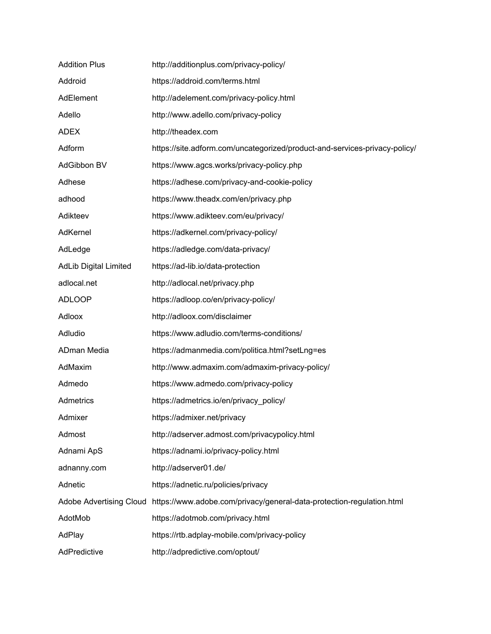| <b>Addition Plus</b>         | http://additionplus.com/privacy-policy/                                    |
|------------------------------|----------------------------------------------------------------------------|
| Addroid                      | https://addroid.com/terms.html                                             |
| AdElement                    | http://adelement.com/privacy-policy.html                                   |
| Adello                       | http://www.adello.com/privacy-policy                                       |
| <b>ADEX</b>                  | http://theadex.com                                                         |
| Adform                       | https://site.adform.com/uncategorized/product-and-services-privacy-policy/ |
| AdGibbon BV                  | https://www.agcs.works/privacy-policy.php                                  |
| Adhese                       | https://adhese.com/privacy-and-cookie-policy                               |
| adhood                       | https://www.theadx.com/en/privacy.php                                      |
| Adikteev                     | https://www.adikteev.com/eu/privacy/                                       |
| AdKernel                     | https://adkernel.com/privacy-policy/                                       |
| AdLedge                      | https://adledge.com/data-privacy/                                          |
| <b>AdLib Digital Limited</b> | https://ad-lib.io/data-protection                                          |
| adlocal.net                  | http://adlocal.net/privacy.php                                             |
| <b>ADLOOP</b>                | https://adloop.co/en/privacy-policy/                                       |
| Adloox                       | http://adloox.com/disclaimer                                               |
| Adludio                      | https://www.adludio.com/terms-conditions/                                  |
| ADman Media                  | https://admanmedia.com/politica.html?setLng=es                             |
| AdMaxim                      | http://www.admaxim.com/admaxim-privacy-policy/                             |
| Admedo                       | https://www.admedo.com/privacy-policy                                      |
| Admetrics                    | https://admetrics.io/en/privacy_policy/                                    |
| Admixer                      | https://admixer.net/privacy                                                |
| Admost                       | http://adserver.admost.com/privacypolicy.html                              |
| Adnami ApS                   | https://adnami.io/privacy-policy.html                                      |
| adnanny.com                  | http://adserver01.de/                                                      |
| Adnetic                      | https://adnetic.ru/policies/privacy                                        |
| Adobe Advertising Cloud      | https://www.adobe.com/privacy/general-data-protection-regulation.html      |
| AdotMob                      | https://adotmob.com/privacy.html                                           |
| AdPlay                       | https://rtb.adplay-mobile.com/privacy-policy                               |
| AdPredictive                 | http://adpredictive.com/optout/                                            |
|                              |                                                                            |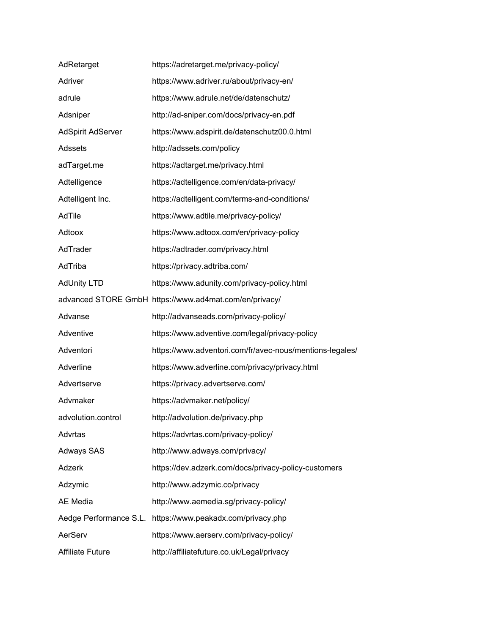| AdRetarget              | https://adretarget.me/privacy-policy/                    |
|-------------------------|----------------------------------------------------------|
| Adriver                 | https://www.adriver.ru/about/privacy-en/                 |
| adrule                  | https://www.adrule.net/de/datenschutz/                   |
| Adsniper                | http://ad-sniper.com/docs/privacy-en.pdf                 |
| AdSpirit AdServer       | https://www.adspirit.de/datenschutz00.0.html             |
| Adssets                 | http://adssets.com/policy                                |
| adTarget.me             | https://adtarget.me/privacy.html                         |
| Adtelligence            | https://adtelligence.com/en/data-privacy/                |
| Adtelligent Inc.        | https://adtelligent.com/terms-and-conditions/            |
| AdTile                  | https://www.adtile.me/privacy-policy/                    |
| Adtoox                  | https://www.adtoox.com/en/privacy-policy                 |
| AdTrader                | https://adtrader.com/privacy.html                        |
| AdTriba                 | https://privacy.adtriba.com/                             |
| <b>AdUnity LTD</b>      | https://www.adunity.com/privacy-policy.html              |
|                         | advanced STORE GmbH https://www.ad4mat.com/en/privacy/   |
| Advanse                 | http://advanseads.com/privacy-policy/                    |
| Adventive               | https://www.adventive.com/legal/privacy-policy           |
| Adventori               | https://www.adventori.com/fr/avec-nous/mentions-legales/ |
| Adverline               | https://www.adverline.com/privacy/privacy.html           |
| Advertserve             | https://privacy.advertserve.com/                         |
| Advmaker                | https://advmaker.net/policy/                             |
| advolution.control      | http://advolution.de/privacy.php                         |
| Advrtas                 | https://advrtas.com/privacy-policy/                      |
| <b>Adways SAS</b>       | http://www.adways.com/privacy/                           |
| Adzerk                  | https://dev.adzerk.com/docs/privacy-policy-customers     |
| Adzymic                 | http://www.adzymic.co/privacy                            |
| AE Media                | http://www.aemedia.sg/privacy-policy/                    |
| Aedge Performance S.L.  | https://www.peakadx.com/privacy.php                      |
| AerServ                 | https://www.aerserv.com/privacy-policy/                  |
| <b>Affiliate Future</b> | http://affiliatefuture.co.uk/Legal/privacy               |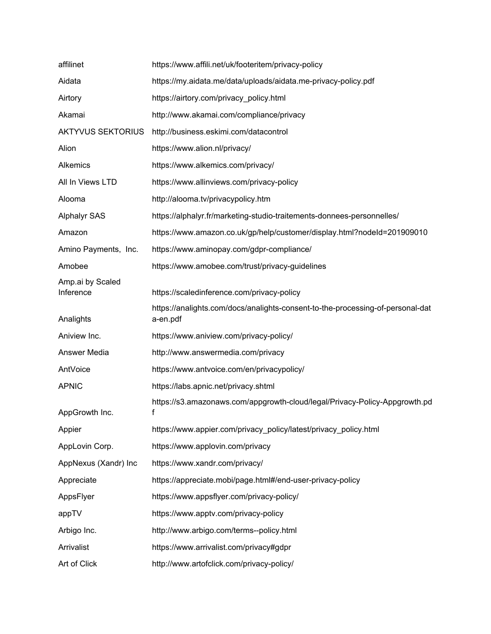| affilinet                     | https://www.affili.net/uk/footeritem/privacy-policy                                        |
|-------------------------------|--------------------------------------------------------------------------------------------|
| Aidata                        | https://my.aidata.me/data/uploads/aidata.me-privacy-policy.pdf                             |
| Airtory                       | https://airtory.com/privacy_policy.html                                                    |
| Akamai                        | http://www.akamai.com/compliance/privacy                                                   |
| <b>AKTYVUS SEKTORIUS</b>      | http://business.eskimi.com/datacontrol                                                     |
| Alion                         | https://www.alion.nl/privacy/                                                              |
| Alkemics                      | https://www.alkemics.com/privacy/                                                          |
| All In Views LTD              | https://www.allinviews.com/privacy-policy                                                  |
| Alooma                        | http://alooma.tv/privacypolicy.htm                                                         |
| <b>Alphalyr SAS</b>           | https://alphalyr.fr/marketing-studio-traitements-donnees-personnelles/                     |
| Amazon                        | https://www.amazon.co.uk/gp/help/customer/display.html?nodeId=201909010                    |
| Amino Payments, Inc.          | https://www.aminopay.com/gdpr-compliance/                                                  |
| Amobee                        | https://www.amobee.com/trust/privacy-guidelines                                            |
| Amp.ai by Scaled<br>Inference | https://scaledinference.com/privacy-policy                                                 |
| Analights                     | https://analights.com/docs/analights-consent-to-the-processing-of-personal-dat<br>a-en.pdf |
| Aniview Inc.                  | https://www.aniview.com/privacy-policy/                                                    |
| Answer Media                  | http://www.answermedia.com/privacy                                                         |
| AntVoice                      | https://www.antvoice.com/en/privacypolicy/                                                 |
| <b>APNIC</b>                  | https://labs.apnic.net/privacy.shtml                                                       |
| AppGrowth Inc.                | https://s3.amazonaws.com/appgrowth-cloud/legal/Privacy-Policy-Appgrowth.pd<br>f            |
| Appier                        | https://www.appier.com/privacy_policy/latest/privacy_policy.html                           |
| AppLovin Corp.                | https://www.applovin.com/privacy                                                           |
| AppNexus (Xandr) Inc          | https://www.xandr.com/privacy/                                                             |
| Appreciate                    | https://appreciate.mobi/page.html#/end-user-privacy-policy                                 |
| AppsFlyer                     | https://www.appsflyer.com/privacy-policy/                                                  |
| appTV                         | https://www.apptv.com/privacy-policy                                                       |
| Arbigo Inc.                   | http://www.arbigo.com/terms--policy.html                                                   |
| Arrivalist                    | https://www.arrivalist.com/privacy#gdpr                                                    |
| Art of Click                  | http://www.artofclick.com/privacy-policy/                                                  |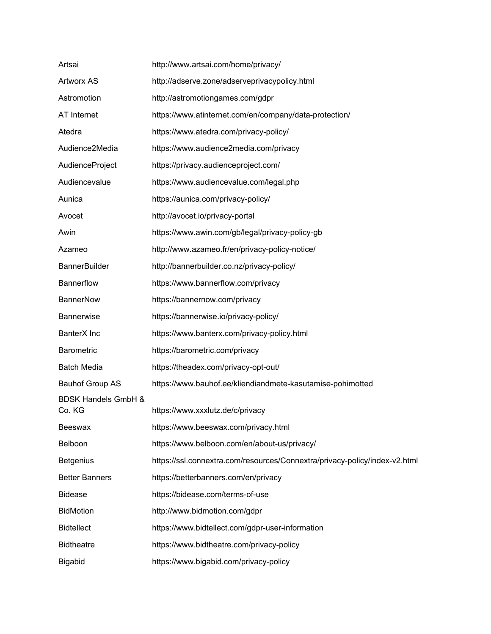| Artsai                                   | http://www.artsai.com/home/privacy/                                        |
|------------------------------------------|----------------------------------------------------------------------------|
| <b>Artworx AS</b>                        | http://adserve.zone/adserveprivacypolicy.html                              |
| Astromotion                              | http://astromotiongames.com/gdpr                                           |
| AT Internet                              | https://www.atinternet.com/en/company/data-protection/                     |
| Atedra                                   | https://www.atedra.com/privacy-policy/                                     |
| Audience2Media                           | https://www.audience2media.com/privacy                                     |
| AudienceProject                          | https://privacy.audienceproject.com/                                       |
| Audiencevalue                            | https://www.audiencevalue.com/legal.php                                    |
| Aunica                                   | https://aunica.com/privacy-policy/                                         |
| Avocet                                   | http://avocet.io/privacy-portal                                            |
| Awin                                     | https://www.awin.com/gb/legal/privacy-policy-gb                            |
| Azameo                                   | http://www.azameo.fr/en/privacy-policy-notice/                             |
| <b>BannerBuilder</b>                     | http://bannerbuilder.co.nz/privacy-policy/                                 |
| Bannerflow                               | https://www.bannerflow.com/privacy                                         |
| <b>BannerNow</b>                         | https://bannernow.com/privacy                                              |
| Bannerwise                               | https://bannerwise.io/privacy-policy/                                      |
| BanterX Inc                              | https://www.banterx.com/privacy-policy.html                                |
| Barometric                               | https://barometric.com/privacy                                             |
| <b>Batch Media</b>                       | https://theadex.com/privacy-opt-out/                                       |
| <b>Bauhof Group AS</b>                   | https://www.bauhof.ee/kliendiandmete-kasutamise-pohimotted                 |
| <b>BDSK Handels GmbH &amp;</b><br>Co. KG | https://www.xxxlutz.de/c/privacy                                           |
| Beeswax                                  | https://www.beeswax.com/privacy.html                                       |
| Belboon                                  | https://www.belboon.com/en/about-us/privacy/                               |
| <b>Betgenius</b>                         | https://ssl.connextra.com/resources/Connextra/privacy-policy/index-v2.html |
| <b>Better Banners</b>                    | https://betterbanners.com/en/privacy                                       |
| <b>Bidease</b>                           | https://bidease.com/terms-of-use                                           |
| <b>BidMotion</b>                         | http://www.bidmotion.com/gdpr                                              |
| <b>Bidtellect</b>                        | https://www.bidtellect.com/gdpr-user-information                           |
| <b>Bidtheatre</b>                        | https://www.bidtheatre.com/privacy-policy                                  |
| Bigabid                                  | https://www.bigabid.com/privacy-policy                                     |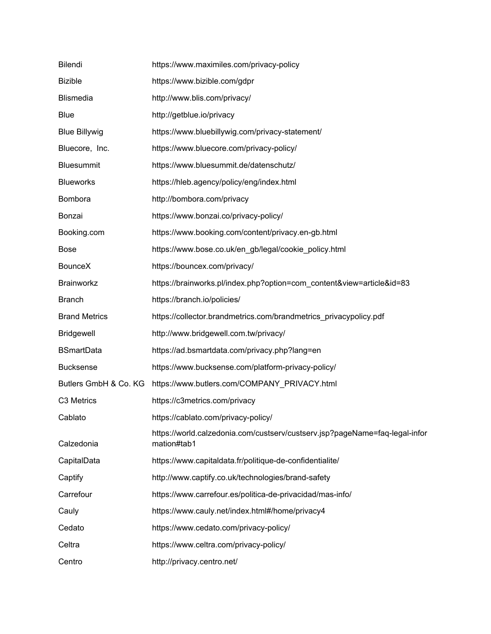| Bilendi               | https://www.maximiles.com/privacy-policy                                                   |
|-----------------------|--------------------------------------------------------------------------------------------|
| <b>Bizible</b>        | https://www.bizible.com/gdpr                                                               |
| <b>Blismedia</b>      | http://www.blis.com/privacy/                                                               |
| <b>Blue</b>           | http://getblue.io/privacy                                                                  |
| <b>Blue Billywig</b>  | https://www.bluebillywig.com/privacy-statement/                                            |
| Bluecore, Inc.        | https://www.bluecore.com/privacy-policy/                                                   |
| <b>Bluesummit</b>     | https://www.bluesummit.de/datenschutz/                                                     |
| <b>Blueworks</b>      | https://hleb.agency/policy/eng/index.html                                                  |
| Bombora               | http://bombora.com/privacy                                                                 |
| Bonzai                | https://www.bonzai.co/privacy-policy/                                                      |
| Booking.com           | https://www.booking.com/content/privacy.en-gb.html                                         |
| <b>Bose</b>           | https://www.bose.co.uk/en_gb/legal/cookie_policy.html                                      |
| BounceX               | https://bouncex.com/privacy/                                                               |
| Brainworkz            | https://brainworks.pl/index.php?option=com_content&view=article&id=83                      |
| <b>Branch</b>         | https://branch.io/policies/                                                                |
| <b>Brand Metrics</b>  | https://collector.brandmetrics.com/brandmetrics_privacypolicy.pdf                          |
| <b>Bridgewell</b>     | http://www.bridgewell.com.tw/privacy/                                                      |
| <b>BSmartData</b>     | https://ad.bsmartdata.com/privacy.php?lang=en                                              |
| <b>Bucksense</b>      | https://www.bucksense.com/platform-privacy-policy/                                         |
| Butlers GmbH & Co. KG | https://www.butlers.com/COMPANY_PRIVACY.html                                               |
| C3 Metrics            | https://c3metrics.com/privacy                                                              |
| Cablato               | https://cablato.com/privacy-policy/                                                        |
| Calzedonia            | https://world.calzedonia.com/custserv/custserv.jsp?pageName=faq-legal-infor<br>mation#tab1 |
| CapitalData           | https://www.capitaldata.fr/politique-de-confidentialite/                                   |
| Captify               | http://www.captify.co.uk/technologies/brand-safety                                         |
| Carrefour             | https://www.carrefour.es/politica-de-privacidad/mas-info/                                  |
| Cauly                 | https://www.cauly.net/index.html#/home/privacy4                                            |
| Cedato                | https://www.cedato.com/privacy-policy/                                                     |
| Celtra                | https://www.celtra.com/privacy-policy/                                                     |
| Centro                | http://privacy.centro.net/                                                                 |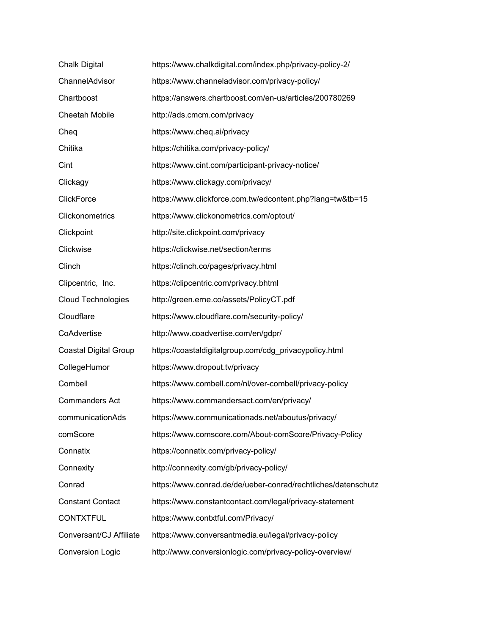| <b>Chalk Digital</b>         | https://www.chalkdigital.com/index.php/privacy-policy-2/      |
|------------------------------|---------------------------------------------------------------|
| ChannelAdvisor               | https://www.channeladvisor.com/privacy-policy/                |
| Chartboost                   | https://answers.chartboost.com/en-us/articles/200780269       |
| <b>Cheetah Mobile</b>        | http://ads.cmcm.com/privacy                                   |
| Cheq                         | https://www.cheq.ai/privacy                                   |
| Chitika                      | https://chitika.com/privacy-policy/                           |
| Cint                         | https://www.cint.com/participant-privacy-notice/              |
| Clickagy                     | https://www.clickagy.com/privacy/                             |
| <b>ClickForce</b>            | https://www.clickforce.com.tw/edcontent.php?lang=tw&tb=15     |
| Clickonometrics              | https://www.clickonometrics.com/optout/                       |
| Clickpoint                   | http://site.clickpoint.com/privacy                            |
| Clickwise                    | https://clickwise.net/section/terms                           |
| Clinch                       | https://clinch.co/pages/privacy.html                          |
| Clipcentric, Inc.            | https://clipcentric.com/privacy.bhtml                         |
| <b>Cloud Technologies</b>    | http://green.erne.co/assets/PolicyCT.pdf                      |
| Cloudflare                   | https://www.cloudflare.com/security-policy/                   |
| CoAdvertise                  | http://www.coadvertise.com/en/gdpr/                           |
| <b>Coastal Digital Group</b> | https://coastaldigitalgroup.com/cdg_privacypolicy.html        |
| CollegeHumor                 | https://www.dropout.tv/privacy                                |
| Combell                      | https://www.combell.com/nl/over-combell/privacy-policy        |
| <b>Commanders Act</b>        | https://www.commandersact.com/en/privacy/                     |
| communicationAds             | https://www.communicationads.net/aboutus/privacy/             |
| comScore                     | https://www.comscore.com/About-comScore/Privacy-Policy        |
| Connatix                     | https://connatix.com/privacy-policy/                          |
| Connexity                    | http://connexity.com/gb/privacy-policy/                       |
| Conrad                       | https://www.conrad.de/de/ueber-conrad/rechtliches/datenschutz |
| <b>Constant Contact</b>      | https://www.constantcontact.com/legal/privacy-statement       |
| <b>CONTXTFUL</b>             | https://www.contxtful.com/Privacy/                            |
| Conversant/CJ Affiliate      | https://www.conversantmedia.eu/legal/privacy-policy           |
| <b>Conversion Logic</b>      | http://www.conversionlogic.com/privacy-policy-overview/       |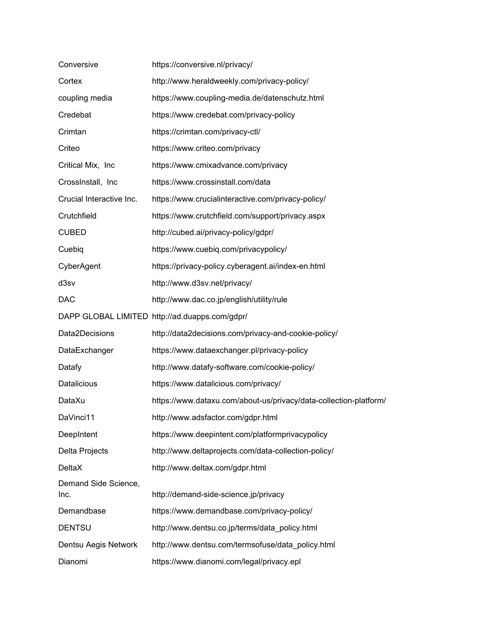| Conversive                   | https://conversive.nl/privacy/                                    |
|------------------------------|-------------------------------------------------------------------|
| Cortex                       | http://www.heraldweekly.com/privacy-policy/                       |
| coupling media               | https://www.coupling-media.de/datenschutz.html                    |
| Credebat                     | https://www.credebat.com/privacy-policy                           |
| Crimtan                      | https://crimtan.com/privacy-ctl/                                  |
| Criteo                       | https://www.criteo.com/privacy                                    |
| Critical Mix, Inc            | https://www.cmixadvance.com/privacy                               |
| CrossInstall, Inc.           | https://www.crossinstall.com/data                                 |
| Crucial Interactive Inc.     | https://www.crucialinteractive.com/privacy-policy/                |
| Crutchfield                  | https://www.crutchfield.com/support/privacy.aspx                  |
| <b>CUBED</b>                 | http://cubed.ai/privacy-policy/gdpr/                              |
| Cuebig                       | https://www.cuebiq.com/privacypolicy/                             |
| CyberAgent                   | https://privacy-policy.cyberagent.ai/index-en.html                |
| d3sv                         | http://www.d3sv.net/privacy/                                      |
| <b>DAC</b>                   | http://www.dac.co.jp/english/utility/rule                         |
|                              | DAPP GLOBAL LIMITED http://ad.duapps.com/gdpr/                    |
| Data2Decisions               | http://data2decisions.com/privacy-and-cookie-policy/              |
| DataExchanger                | https://www.dataexchanger.pl/privacy-policy                       |
| Datafy                       | http://www.datafy-software.com/cookie-policy/                     |
| <b>Datalicious</b>           | https://www.datalicious.com/privacy/                              |
| DataXu                       | https://www.dataxu.com/about-us/privacy/data-collection-platform/ |
| DaVinci11                    | http://www.adsfactor.com/gdpr.html                                |
| DeepIntent                   | https://www.deepintent.com/platformprivacypolicy                  |
| Delta Projects               | http://www.deltaprojects.com/data-collection-policy/              |
| <b>DeltaX</b>                | http://www.deltax.com/gdpr.html                                   |
| Demand Side Science,<br>Inc. | http://demand-side-science.jp/privacy                             |
| Demandbase                   | https://www.demandbase.com/privacy-policy/                        |
| <b>DENTSU</b>                | http://www.dentsu.co.jp/terms/data_policy.html                    |
| Dentsu Aegis Network         | http://www.dentsu.com/termsofuse/data_policy.html                 |
| Dianomi                      | https://www.dianomi.com/legal/privacy.epl                         |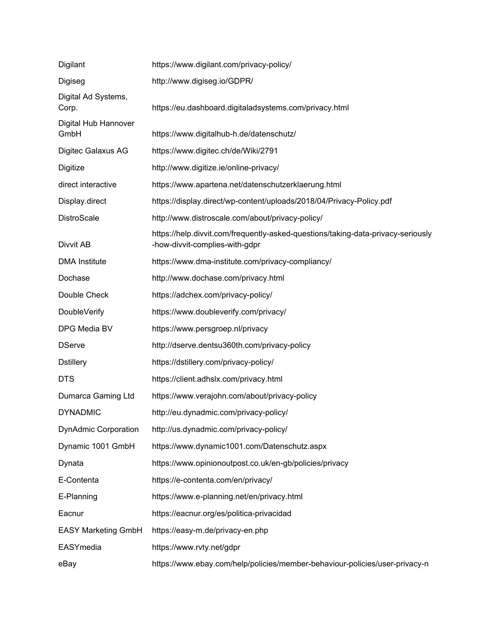| Digilant                     | https://www.digilant.com/privacy-policy/                                                                           |
|------------------------------|--------------------------------------------------------------------------------------------------------------------|
| Digiseg                      | http://www.digiseg.io/GDPR/                                                                                        |
| Digital Ad Systems,<br>Corp. | https://eu.dashboard.digitaladsystems.com/privacy.html                                                             |
| Digital Hub Hannover<br>GmbH | https://www.digitalhub-h.de/datenschutz/                                                                           |
| Digitec Galaxus AG           | https://www.digitec.ch/de/Wiki/2791                                                                                |
| Digitize                     | http://www.digitize.ie/online-privacy/                                                                             |
| direct interactive           | https://www.apartena.net/datenschutzerklaerung.html                                                                |
| Display.direct               | https://display.direct/wp-content/uploads/2018/04/Privacy-Policy.pdf                                               |
| DistroScale                  | http://www.distroscale.com/about/privacy-policy/                                                                   |
| Divvit AB                    | https://help.divvit.com/frequently-asked-questions/taking-data-privacy-seriously<br>-how-divvit-complies-with-gdpr |
| <b>DMA Institute</b>         | https://www.dma-institute.com/privacy-compliancy/                                                                  |
| Dochase                      | http://www.dochase.com/privacy.html                                                                                |
| Double Check                 | https://adchex.com/privacy-policy/                                                                                 |
| DoubleVerify                 | https://www.doubleverify.com/privacy/                                                                              |
| DPG Media BV                 | https://www.persgroep.nl/privacy                                                                                   |
| <b>DServe</b>                | http://dserve.dentsu360th.com/privacy-policy                                                                       |
| <b>Dstillery</b>             | https://dstillery.com/privacy-policy/                                                                              |
| <b>DTS</b>                   | https://client.adhslx.com/privacy.html                                                                             |
| Dumarca Gaming Ltd           | https://www.verajohn.com/about/privacy-policy                                                                      |
| <b>DYNADMIC</b>              | http://eu.dynadmic.com/privacy-policy/                                                                             |
| <b>DynAdmic Corporation</b>  | http://us.dynadmic.com/privacy-policy/                                                                             |
| Dynamic 1001 GmbH            | https://www.dynamic1001.com/Datenschutz.aspx                                                                       |
| Dynata                       | https://www.opinionoutpost.co.uk/en-gb/policies/privacy                                                            |
| E-Contenta                   | https://e-contenta.com/en/privacy/                                                                                 |
| E-Planning                   | https://www.e-planning.net/en/privacy.html                                                                         |
| Eacnur                       | https://eacnur.org/es/politica-privacidad                                                                          |
| <b>EASY Marketing GmbH</b>   | https://easy-m.de/privacy-en.php                                                                                   |
| EASYmedia                    | https://www.rvty.net/gdpr                                                                                          |
| eBay                         | https://www.ebay.com/help/policies/member-behaviour-policies/user-privacy-n                                        |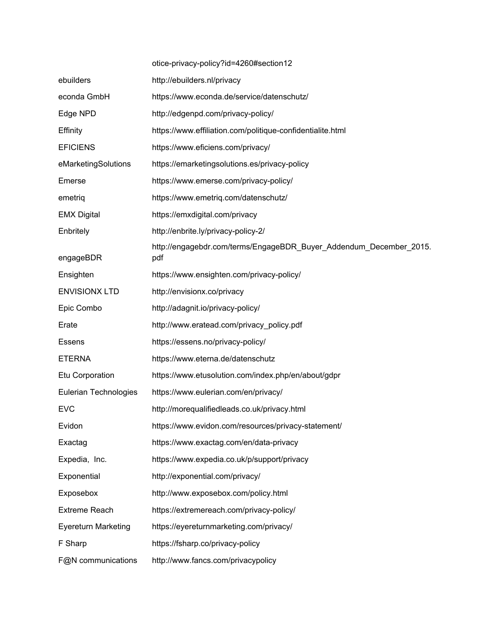|                            | otice-privacy-policy?id=4260#section12                                    |
|----------------------------|---------------------------------------------------------------------------|
| ebuilders                  | http://ebuilders.nl/privacy                                               |
| econda GmbH                | https://www.econda.de/service/datenschutz/                                |
| Edge NPD                   | http://edgenpd.com/privacy-policy/                                        |
| Effinity                   | https://www.effiliation.com/politique-confidentialite.html                |
| <b>EFICIENS</b>            | https://www.eficiens.com/privacy/                                         |
| eMarketingSolutions        | https://emarketingsolutions.es/privacy-policy                             |
| Emerse                     | https://www.emerse.com/privacy-policy/                                    |
| emetriq                    | https://www.emetriq.com/datenschutz/                                      |
| <b>EMX Digital</b>         | https://emxdigital.com/privacy                                            |
| Enbritely                  | http://enbrite.ly/privacy-policy-2/                                       |
| engageBDR                  | http://engagebdr.com/terms/EngageBDR_Buyer_Addendum_December_2015.<br>pdf |
| Ensighten                  | https://www.ensighten.com/privacy-policy/                                 |
| <b>ENVISIONX LTD</b>       | http://envisionx.co/privacy                                               |
| Epic Combo                 | http://adagnit.io/privacy-policy/                                         |
| Erate                      | http://www.eratead.com/privacy_policy.pdf                                 |
| <b>Essens</b>              | https://essens.no/privacy-policy/                                         |
| <b>ETERNA</b>              | https://www.eterna.de/datenschutz                                         |
| Etu Corporation            | https://www.etusolution.com/index.php/en/about/gdpr                       |
| Eulerian Technologies      | https://www.eulerian.com/en/privacy/                                      |
| <b>EVC</b>                 | http://morequalifiedleads.co.uk/privacy.html                              |
| Evidon                     | https://www.evidon.com/resources/privacy-statement/                       |
| Exactag                    | https://www.exactag.com/en/data-privacy                                   |
| Expedia, Inc.              | https://www.expedia.co.uk/p/support/privacy                               |
| Exponential                | http://exponential.com/privacy/                                           |
| Exposebox                  | http://www.exposebox.com/policy.html                                      |
| <b>Extreme Reach</b>       | https://extremereach.com/privacy-policy/                                  |
| <b>Eyereturn Marketing</b> | https://eyereturnmarketing.com/privacy/                                   |
| F Sharp                    | https://fsharp.co/privacy-policy                                          |
| F@N communications         | http://www.fancs.com/privacypolicy                                        |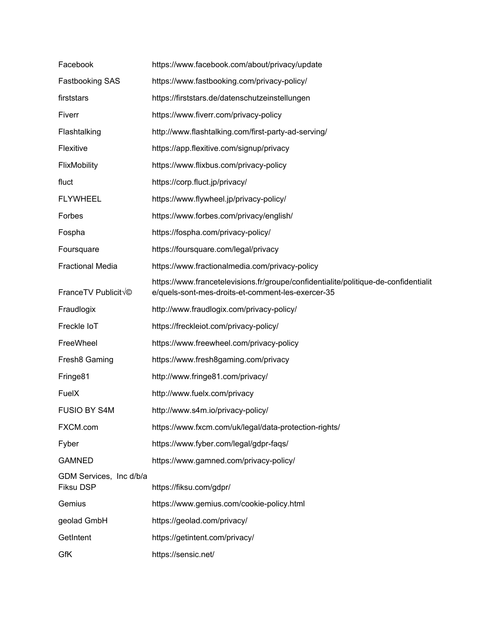| Facebook                                    | https://www.facebook.com/about/privacy/update                                                                                            |
|---------------------------------------------|------------------------------------------------------------------------------------------------------------------------------------------|
| Fastbooking SAS                             | https://www.fastbooking.com/privacy-policy/                                                                                              |
| firststars                                  | https://firststars.de/datenschutzeinstellungen                                                                                           |
| Fiverr                                      | https://www.fiverr.com/privacy-policy                                                                                                    |
| Flashtalking                                | http://www.flashtalking.com/first-party-ad-serving/                                                                                      |
| Flexitive                                   | https://app.flexitive.com/signup/privacy                                                                                                 |
| FlixMobility                                | https://www.flixbus.com/privacy-policy                                                                                                   |
| fluct                                       | https://corp.fluct.jp/privacy/                                                                                                           |
| <b>FLYWHEEL</b>                             | https://www.flywheel.jp/privacy-policy/                                                                                                  |
| Forbes                                      | https://www.forbes.com/privacy/english/                                                                                                  |
| Fospha                                      | https://fospha.com/privacy-policy/                                                                                                       |
| Foursquare                                  | https://foursquare.com/legal/privacy                                                                                                     |
| <b>Fractional Media</b>                     | https://www.fractionalmedia.com/privacy-policy                                                                                           |
| FranceTV Publicit <sup>V</sup> ©            | https://www.francetelevisions.fr/groupe/confidentialite/politique-de-confidentialit<br>e/quels-sont-mes-droits-et-comment-les-exercer-35 |
| Fraudlogix                                  | http://www.fraudlogix.com/privacy-policy/                                                                                                |
| Freckle IoT                                 | https://freckleiot.com/privacy-policy/                                                                                                   |
| FreeWheel                                   | https://www.freewheel.com/privacy-policy                                                                                                 |
| Fresh8 Gaming                               | https://www.fresh8gaming.com/privacy                                                                                                     |
| Fringe81                                    | http://www.fringe81.com/privacy/                                                                                                         |
| FuelX                                       | http://www.fuelx.com/privacy                                                                                                             |
| <b>FUSIO BY S4M</b>                         | http://www.s4m.io/privacy-policy/                                                                                                        |
| FXCM.com                                    | https://www.fxcm.com/uk/legal/data-protection-rights/                                                                                    |
| Fyber                                       | https://www.fyber.com/legal/gdpr-faqs/                                                                                                   |
| <b>GAMNED</b>                               | https://www.gamned.com/privacy-policy/                                                                                                   |
| GDM Services, Inc d/b/a<br><b>Fiksu DSP</b> | https://fiksu.com/gdpr/                                                                                                                  |
| Gemius                                      | https://www.gemius.com/cookie-policy.html                                                                                                |
| geolad GmbH                                 | https://geolad.com/privacy/                                                                                                              |
| GetIntent                                   | https://getintent.com/privacy/                                                                                                           |
| GfK                                         | https://sensic.net/                                                                                                                      |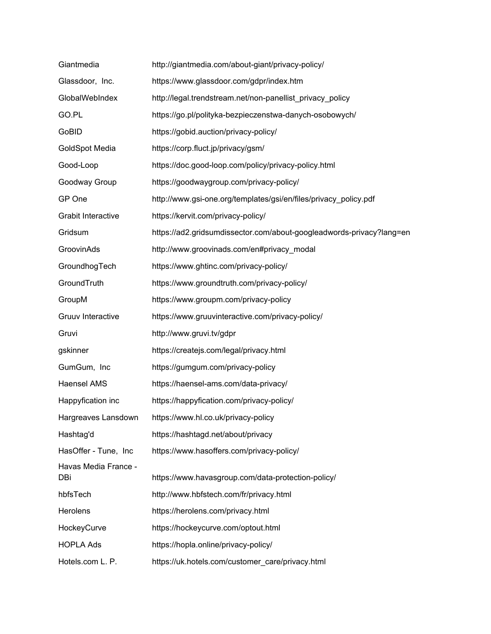| Giantmedia                  | http://giantmedia.com/about-giant/privacy-policy/                    |
|-----------------------------|----------------------------------------------------------------------|
| Glassdoor, Inc.             | https://www.glassdoor.com/gdpr/index.htm                             |
| GlobalWebIndex              | http://legal.trendstream.net/non-panellist_privacy_policy            |
| GO.PL                       | https://go.pl/polityka-bezpieczenstwa-danych-osobowych/              |
| GoBID                       | https://gobid.auction/privacy-policy/                                |
| <b>GoldSpot Media</b>       | https://corp.fluct.jp/privacy/gsm/                                   |
| Good-Loop                   | https://doc.good-loop.com/policy/privacy-policy.html                 |
| Goodway Group               | https://goodwaygroup.com/privacy-policy/                             |
| GP One                      | http://www.gsi-one.org/templates/gsi/en/files/privacy_policy.pdf     |
| <b>Grabit Interactive</b>   | https://kervit.com/privacy-policy/                                   |
| Gridsum                     | https://ad2.gridsumdissector.com/about-googleadwords-privacy?lang=en |
| GroovinAds                  | http://www.groovinads.com/en#privacy_modal                           |
| GroundhogTech               | https://www.ghtinc.com/privacy-policy/                               |
| GroundTruth                 | https://www.groundtruth.com/privacy-policy/                          |
| GroupM                      | https://www.groupm.com/privacy-policy                                |
| Gruuv Interactive           | https://www.gruuvinteractive.com/privacy-policy/                     |
| Gruvi                       | http://www.gruvi.tv/gdpr                                             |
| gskinner                    | https://createjs.com/legal/privacy.html                              |
| GumGum, Inc                 | https://gumgum.com/privacy-policy                                    |
| <b>Haensel AMS</b>          | https://haensel-ams.com/data-privacy/                                |
| Happyfication inc           | https://happyfication.com/privacy-policy/                            |
| Hargreaves Lansdown         | https://www.hl.co.uk/privacy-policy                                  |
| Hashtag'd                   | https://hashtagd.net/about/privacy                                   |
| HasOffer - Tune, Inc        | https://www.hasoffers.com/privacy-policy/                            |
| Havas Media France -<br>DBi | https://www.havasgroup.com/data-protection-policy/                   |
| hbfsTech                    | http://www.hbfstech.com/fr/privacy.html                              |
| <b>Herolens</b>             | https://herolens.com/privacy.html                                    |
| HockeyCurve                 | https://hockeycurve.com/optout.html                                  |
| <b>HOPLA Ads</b>            | https://hopla.online/privacy-policy/                                 |
| Hotels.com L. P.            | https://uk.hotels.com/customer_care/privacy.html                     |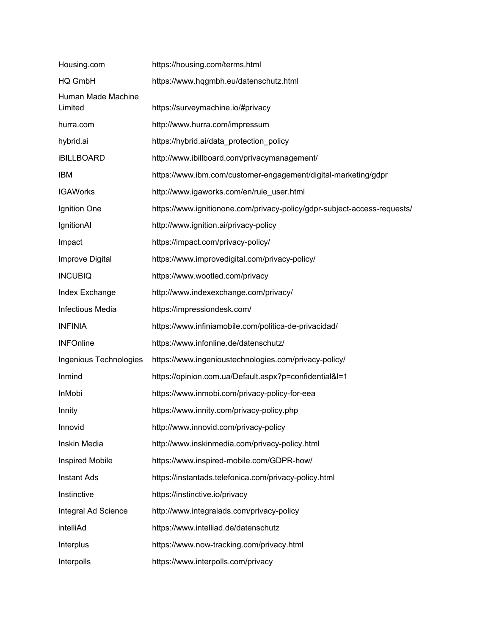| Housing.com                   | https://housing.com/terms.html                                           |
|-------------------------------|--------------------------------------------------------------------------|
| HQ GmbH                       | https://www.hqgmbh.eu/datenschutz.html                                   |
| Human Made Machine<br>Limited | https://surveymachine.io/#privacy                                        |
| hurra.com                     | http://www.hurra.com/impressum                                           |
| hybrid.ai                     | https://hybrid.ai/data protection policy                                 |
| <b>iBILLBOARD</b>             | http://www.ibillboard.com/privacymanagement/                             |
| <b>IBM</b>                    | https://www.ibm.com/customer-engagement/digital-marketing/gdpr           |
| <b>IGAWorks</b>               | http://www.igaworks.com/en/rule_user.html                                |
| Ignition One                  | https://www.ignitionone.com/privacy-policy/gdpr-subject-access-requests/ |
| IgnitionAI                    | http://www.ignition.ai/privacy-policy                                    |
| Impact                        | https://impact.com/privacy-policy/                                       |
| Improve Digital               | https://www.improvedigital.com/privacy-policy/                           |
| <b>INCUBIQ</b>                | https://www.wootled.com/privacy                                          |
| Index Exchange                | http://www.indexexchange.com/privacy/                                    |
| Infectious Media              | https://impressiondesk.com/                                              |
| <b>INFINIA</b>                | https://www.infiniamobile.com/politica-de-privacidad/                    |
| <b>INFOnline</b>              | https://www.infonline.de/datenschutz/                                    |
| Ingenious Technologies        | https://www.ingenioustechnologies.com/privacy-policy/                    |
| Inmind                        | https://opinion.com.ua/Default.aspx?p=confidential&l=1                   |
| InMobi                        | https://www.inmobi.com/privacy-policy-for-eea                            |
| Innity                        | https://www.innity.com/privacy-policy.php                                |
| Innovid                       | http://www.innovid.com/privacy-policy                                    |
| Inskin Media                  | http://www.inskinmedia.com/privacy-policy.html                           |
| Inspired Mobile               | https://www.inspired-mobile.com/GDPR-how/                                |
| <b>Instant Ads</b>            | https://instantads.telefonica.com/privacy-policy.html                    |
| Instinctive                   | https://instinctive.io/privacy                                           |
| Integral Ad Science           | http://www.integralads.com/privacy-policy                                |
| intelliAd                     | https://www.intelliad.de/datenschutz                                     |
| Interplus                     | https://www.now-tracking.com/privacy.html                                |
| Interpolls                    | https://www.interpolls.com/privacy                                       |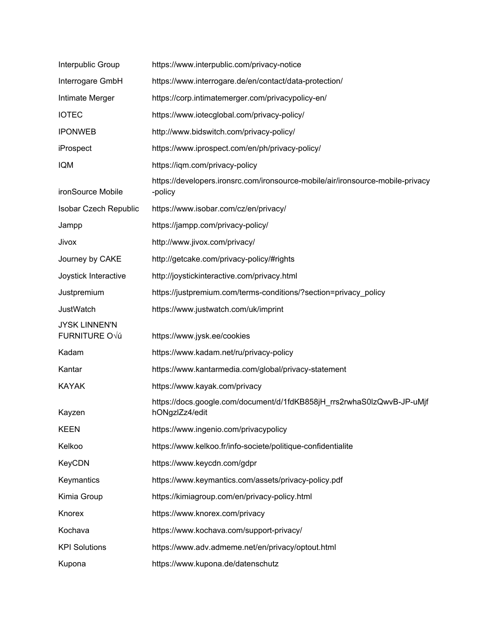| Interpublic Group                            | https://www.interpublic.com/privacy-notice                                                |
|----------------------------------------------|-------------------------------------------------------------------------------------------|
| Interrogare GmbH                             | https://www.interrogare.de/en/contact/data-protection/                                    |
| Intimate Merger                              | https://corp.intimatemerger.com/privacypolicy-en/                                         |
| <b>IOTEC</b>                                 | https://www.iotecglobal.com/privacy-policy/                                               |
| <b>IPONWEB</b>                               | http://www.bidswitch.com/privacy-policy/                                                  |
| iProspect                                    | https://www.iprospect.com/en/ph/privacy-policy/                                           |
| <b>IQM</b>                                   | https://iqm.com/privacy-policy                                                            |
| ironSource Mobile                            | https://developers.ironsrc.com/ironsource-mobile/air/ironsource-mobile-privacy<br>-policy |
| Isobar Czech Republic                        | https://www.isobar.com/cz/en/privacy/                                                     |
| Jampp                                        | https://jampp.com/privacy-policy/                                                         |
| Jivox                                        | http://www.jivox.com/privacy/                                                             |
| Journey by CAKE                              | http://getcake.com/privacy-policy/#rights                                                 |
| Joystick Interactive                         | http://joystickinteractive.com/privacy.html                                               |
| Justpremium                                  | https://justpremium.com/terms-conditions/?section=privacy_policy                          |
| <b>JustWatch</b>                             | https://www.justwatch.com/uk/imprint                                                      |
| <b>JYSK LINNEN'N</b><br><b>FURNITURE O√ú</b> | https://www.jysk.ee/cookies                                                               |
| Kadam                                        | https://www.kadam.net/ru/privacy-policy                                                   |
| Kantar                                       | https://www.kantarmedia.com/global/privacy-statement                                      |
| <b>KAYAK</b>                                 | https://www.kayak.com/privacy                                                             |
| Kayzen                                       | https://docs.google.com/document/d/1fdKB858jH_rrs2rwhaS0lzQwvB-JP-uMjf<br>hONgzlZz4/edit  |
| <b>KEEN</b>                                  | https://www.ingenio.com/privacypolicy                                                     |
| Kelkoo                                       | https://www.kelkoo.fr/info-societe/politique-confidentialite                              |
| <b>KeyCDN</b>                                | https://www.keycdn.com/gdpr                                                               |
| Keymantics                                   | https://www.keymantics.com/assets/privacy-policy.pdf                                      |
| Kimia Group                                  | https://kimiagroup.com/en/privacy-policy.html                                             |
| Knorex                                       | https://www.knorex.com/privacy                                                            |
| Kochava                                      | https://www.kochava.com/support-privacy/                                                  |
| <b>KPI Solutions</b>                         | https://www.adv.admeme.net/en/privacy/optout.html                                         |
| Kupona                                       | https://www.kupona.de/datenschutz                                                         |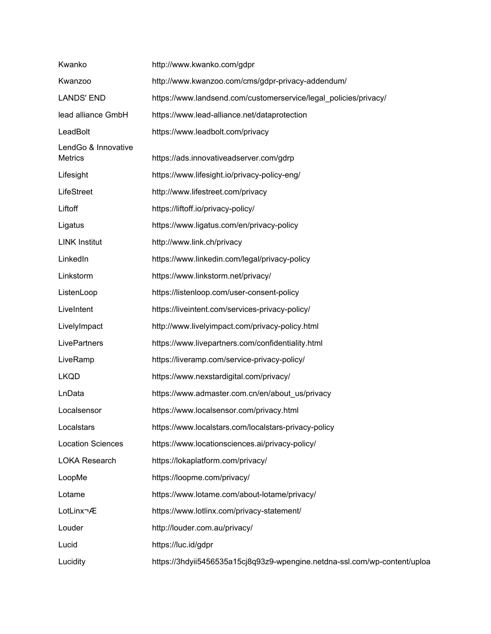| Kwanko                                | http://www.kwanko.com/gdpr                                                |
|---------------------------------------|---------------------------------------------------------------------------|
| Kwanzoo                               | http://www.kwanzoo.com/cms/gdpr-privacy-addendum/                         |
| <b>LANDS' END</b>                     | https://www.landsend.com/customerservice/legal_policies/privacy/          |
| lead alliance GmbH                    | https://www.lead-alliance.net/dataprotection                              |
| LeadBolt                              | https://www.leadbolt.com/privacy                                          |
| LendGo & Innovative<br><b>Metrics</b> | https://ads.innovativeadserver.com/gdrp                                   |
| Lifesight                             | https://www.lifesight.io/privacy-policy-eng/                              |
| LifeStreet                            | http://www.lifestreet.com/privacy                                         |
| Liftoff                               | https://liftoff.io/privacy-policy/                                        |
| Ligatus                               | https://www.ligatus.com/en/privacy-policy                                 |
| <b>LINK Institut</b>                  | http://www.link.ch/privacy                                                |
| LinkedIn                              | https://www.linkedin.com/legal/privacy-policy                             |
| Linkstorm                             | https://www.linkstorm.net/privacy/                                        |
| ListenLoop                            | https://listenloop.com/user-consent-policy                                |
| LiveIntent                            | https://liveintent.com/services-privacy-policy/                           |
| LivelyImpact                          | http://www.livelyimpact.com/privacy-policy.html                           |
| LivePartners                          | https://www.livepartners.com/confidentiality.html                         |
| LiveRamp                              | https://liveramp.com/service-privacy-policy/                              |
| <b>LKQD</b>                           | https://www.nexstardigital.com/privacy/                                   |
| LnData                                | https://www.admaster.com.cn/en/about_us/privacy                           |
| Localsensor                           | https://www.localsensor.com/privacy.html                                  |
| Localstars                            | https://www.localstars.com/localstars-privacy-policy                      |
| <b>Location Sciences</b>              | https://www.locationsciences.ai/privacy-policy/                           |
| <b>LOKA Research</b>                  | https://lokaplatform.com/privacy/                                         |
| LoopMe                                | https://loopme.com/privacy/                                               |
| Lotame                                | https://www.lotame.com/about-lotame/privacy/                              |
| LotLinx®                              | https://www.lotlinx.com/privacy-statement/                                |
| Louder                                | http://louder.com.au/privacy/                                             |
| Lucid                                 | https://luc.id/gdpr                                                       |
| Lucidity                              | https://3hdyii5456535a15cj8q93z9-wpengine.netdna-ssl.com/wp-content/uploa |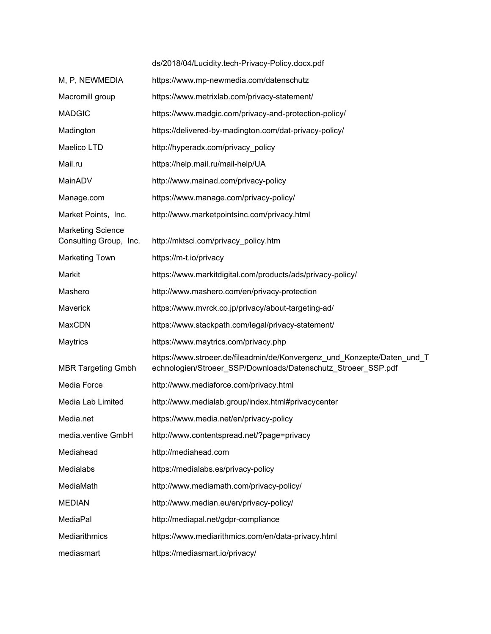|                                                    | ds/2018/04/Lucidity.tech-Privacy-Policy.docx.pdf                                                                                         |
|----------------------------------------------------|------------------------------------------------------------------------------------------------------------------------------------------|
| M, P, NEWMEDIA                                     | https://www.mp-newmedia.com/datenschutz                                                                                                  |
| Macromill group                                    | https://www.metrixlab.com/privacy-statement/                                                                                             |
| <b>MADGIC</b>                                      | https://www.madgic.com/privacy-and-protection-policy/                                                                                    |
| Madington                                          | https://delivered-by-madington.com/dat-privacy-policy/                                                                                   |
| Maelico LTD                                        | http://hyperadx.com/privacy_policy                                                                                                       |
| Mail.ru                                            | https://help.mail.ru/mail-help/UA                                                                                                        |
| MainADV                                            | http://www.mainad.com/privacy-policy                                                                                                     |
| Manage.com                                         | https://www.manage.com/privacy-policy/                                                                                                   |
| Market Points, Inc.                                | http://www.marketpointsinc.com/privacy.html                                                                                              |
| <b>Marketing Science</b><br>Consulting Group, Inc. | http://mktsci.com/privacy_policy.htm                                                                                                     |
| <b>Marketing Town</b>                              | https://m-t.io/privacy                                                                                                                   |
| Markit                                             | https://www.markitdigital.com/products/ads/privacy-policy/                                                                               |
| Mashero                                            | http://www.mashero.com/en/privacy-protection                                                                                             |
| Maverick                                           | https://www.mvrck.co.jp/privacy/about-targeting-ad/                                                                                      |
| MaxCDN                                             | https://www.stackpath.com/legal/privacy-statement/                                                                                       |
| Maytrics                                           | https://www.maytrics.com/privacy.php                                                                                                     |
| <b>MBR Targeting Gmbh</b>                          | https://www.stroeer.de/fileadmin/de/Konvergenz_und_Konzepte/Daten_und_T<br>echnologien/Stroeer_SSP/Downloads/Datenschutz_Stroeer_SSP.pdf |
| Media Force                                        | http://www.mediaforce.com/privacy.html                                                                                                   |
| Media Lab Limited                                  | http://www.medialab.group/index.html#privacycenter                                                                                       |
| Media.net                                          | https://www.media.net/en/privacy-policy                                                                                                  |
| media.ventive GmbH                                 | http://www.contentspread.net/?page=privacy                                                                                               |
| Mediahead                                          | http://mediahead.com                                                                                                                     |
| Medialabs                                          | https://medialabs.es/privacy-policy                                                                                                      |
| MediaMath                                          | http://www.mediamath.com/privacy-policy/                                                                                                 |
| <b>MEDIAN</b>                                      | http://www.median.eu/en/privacy-policy/                                                                                                  |
| MediaPal                                           | http://mediapal.net/gdpr-compliance                                                                                                      |
| Mediarithmics                                      | https://www.mediarithmics.com/en/data-privacy.html                                                                                       |
| mediasmart                                         | https://mediasmart.io/privacy/                                                                                                           |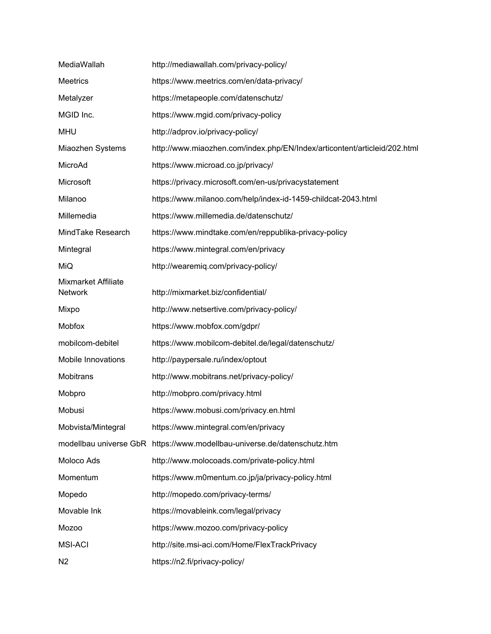| MediaWallah                                  | http://mediawallah.com/privacy-policy/                                    |
|----------------------------------------------|---------------------------------------------------------------------------|
| <b>Meetrics</b>                              | https://www.meetrics.com/en/data-privacy/                                 |
| Metalyzer                                    | https://metapeople.com/datenschutz/                                       |
| MGID Inc.                                    | https://www.mgid.com/privacy-policy                                       |
| <b>MHU</b>                                   | http://adprov.io/privacy-policy/                                          |
| Miaozhen Systems                             | http://www.miaozhen.com/index.php/EN/Index/articontent/articleid/202.html |
| MicroAd                                      | https://www.microad.co.jp/privacy/                                        |
| Microsoft                                    | https://privacy.microsoft.com/en-us/privacystatement                      |
| Milanoo                                      | https://www.milanoo.com/help/index-id-1459-childcat-2043.html             |
| Millemedia                                   | https://www.millemedia.de/datenschutz/                                    |
| MindTake Research                            | https://www.mindtake.com/en/reppublika-privacy-policy                     |
| Mintegral                                    | https://www.mintegral.com/en/privacy                                      |
| MiQ                                          | http://wearemiq.com/privacy-policy/                                       |
| <b>Mixmarket Affiliate</b><br><b>Network</b> | http://mixmarket.biz/confidential/                                        |
| Mixpo                                        | http://www.netsertive.com/privacy-policy/                                 |
| Mobfox                                       | https://www.mobfox.com/gdpr/                                              |
| mobilcom-debitel                             | https://www.mobilcom-debitel.de/legal/datenschutz/                        |
| <b>Mobile Innovations</b>                    | http://paypersale.ru/index/optout                                         |
| Mobitrans                                    | http://www.mobitrans.net/privacy-policy/                                  |
| Mobpro                                       | http://mobpro.com/privacy.html                                            |
| Mobusi                                       | https://www.mobusi.com/privacy.en.html                                    |
| Mobvista/Mintegral                           | https://www.mintegral.com/en/privacy                                      |
|                                              | modellbau universe GbR https://www.modellbau-universe.de/datenschutz.htm  |
| Moloco Ads                                   | http://www.molocoads.com/private-policy.html                              |
| Momentum                                     | https://www.m0mentum.co.jp/ja/privacy-policy.html                         |
| Mopedo                                       | http://mopedo.com/privacy-terms/                                          |
| Movable Ink                                  | https://movableink.com/legal/privacy                                      |
| <b>Mozoo</b>                                 | https://www.mozoo.com/privacy-policy                                      |
| <b>MSI-ACI</b>                               | http://site.msi-aci.com/Home/FlexTrackPrivacy                             |
| N <sub>2</sub>                               | https://n2.fi/privacy-policy/                                             |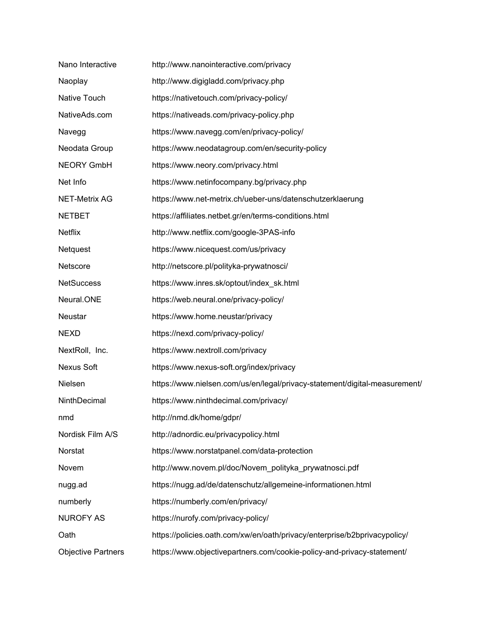| Nano Interactive          | http://www.nanointeractive.com/privacy                                     |
|---------------------------|----------------------------------------------------------------------------|
| Naoplay                   | http://www.digigladd.com/privacy.php                                       |
| Native Touch              | https://nativetouch.com/privacy-policy/                                    |
| NativeAds.com             | https://nativeads.com/privacy-policy.php                                   |
| Navegg                    | https://www.navegg.com/en/privacy-policy/                                  |
| Neodata Group             | https://www.neodatagroup.com/en/security-policy                            |
| <b>NEORY GmbH</b>         | https://www.neory.com/privacy.html                                         |
| Net Info                  | https://www.netinfocompany.bg/privacy.php                                  |
| <b>NET-Metrix AG</b>      | https://www.net-metrix.ch/ueber-uns/datenschutzerklaerung                  |
| <b>NETBET</b>             | https://affiliates.netbet.gr/en/terms-conditions.html                      |
| <b>Netflix</b>            | http://www.netflix.com/google-3PAS-info                                    |
| Netquest                  | https://www.nicequest.com/us/privacy                                       |
| Netscore                  | http://netscore.pl/polityka-prywatnosci/                                   |
| <b>NetSuccess</b>         | https://www.inres.sk/optout/index_sk.html                                  |
| Neural.ONE                | https://web.neural.one/privacy-policy/                                     |
| Neustar                   | https://www.home.neustar/privacy                                           |
| <b>NEXD</b>               | https://nexd.com/privacy-policy/                                           |
| NextRoll, Inc.            | https://www.nextroll.com/privacy                                           |
| Nexus Soft                | https://www.nexus-soft.org/index/privacy                                   |
| Nielsen                   | https://www.nielsen.com/us/en/legal/privacy-statement/digital-measurement/ |
| NinthDecimal              | https://www.ninthdecimal.com/privacy/                                      |
| nmd                       | http://nmd.dk/home/gdpr/                                                   |
| Nordisk Film A/S          | http://adnordic.eu/privacypolicy.html                                      |
| Norstat                   | https://www.norstatpanel.com/data-protection                               |
| Novem                     | http://www.novem.pl/doc/Novem_polityka_prywatnosci.pdf                     |
| nugg.ad                   | https://nugg.ad/de/datenschutz/allgemeine-informationen.html               |
| numberly                  | https://numberly.com/en/privacy/                                           |
| <b>NUROFY AS</b>          | https://nurofy.com/privacy-policy/                                         |
| Oath                      | https://policies.oath.com/xw/en/oath/privacy/enterprise/b2bprivacypolicy/  |
| <b>Objective Partners</b> | https://www.objectivepartners.com/cookie-policy-and-privacy-statement/     |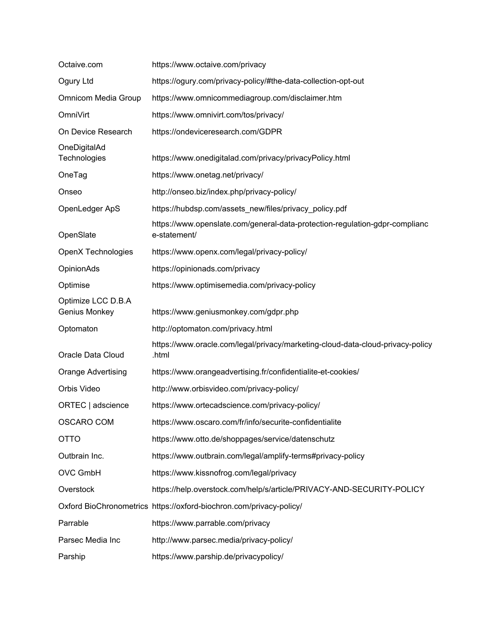| Octaive.com                         | https://www.octaive.com/privacy                                                             |
|-------------------------------------|---------------------------------------------------------------------------------------------|
| Ogury Ltd                           | https://ogury.com/privacy-policy/#the-data-collection-opt-out                               |
| Omnicom Media Group                 | https://www.omnicommediagroup.com/disclaimer.htm                                            |
| OmniVirt                            | https://www.omnivirt.com/tos/privacy/                                                       |
| On Device Research                  | https://ondeviceresearch.com/GDPR                                                           |
| OneDigitalAd<br>Technologies        | https://www.onedigitalad.com/privacy/privacyPolicy.html                                     |
| OneTag                              | https://www.onetag.net/privacy/                                                             |
| Onseo                               | http://onseo.biz/index.php/privacy-policy/                                                  |
| OpenLedger ApS                      | https://hubdsp.com/assets_new/files/privacy_policy.pdf                                      |
| OpenSlate                           | https://www.openslate.com/general-data-protection-regulation-gdpr-complianc<br>e-statement/ |
| <b>OpenX Technologies</b>           | https://www.openx.com/legal/privacy-policy/                                                 |
| OpinionAds                          | https://opinionads.com/privacy                                                              |
| Optimise                            | https://www.optimisemedia.com/privacy-policy                                                |
| Optimize LCC D.B.A<br>Genius Monkey | https://www.geniusmonkey.com/gdpr.php                                                       |
| Optomaton                           | http://optomaton.com/privacy.html                                                           |
| Oracle Data Cloud                   | https://www.oracle.com/legal/privacy/marketing-cloud-data-cloud-privacy-policy<br>.html     |
| <b>Orange Advertising</b>           | https://www.orangeadvertising.fr/confidentialite-et-cookies/                                |
| Orbis Video                         | http://www.orbisvideo.com/privacy-policy/                                                   |
| ORTEC   adscience                   | https://www.ortecadscience.com/privacy-policy/                                              |
| <b>OSCARO COM</b>                   | https://www.oscaro.com/fr/info/securite-confidentialite                                     |
| <b>OTTO</b>                         | https://www.otto.de/shoppages/service/datenschutz                                           |
| Outbrain Inc.                       | https://www.outbrain.com/legal/amplify-terms#privacy-policy                                 |
| <b>OVC GmbH</b>                     | https://www.kissnofrog.com/legal/privacy                                                    |
| Overstock                           | https://help.overstock.com/help/s/article/PRIVACY-AND-SECURITY-POLICY                       |
|                                     | Oxford BioChronometrics https://oxford-biochron.com/privacy-policy/                         |
| Parrable                            | https://www.parrable.com/privacy                                                            |
| Parsec Media Inc                    | http://www.parsec.media/privacy-policy/                                                     |
| Parship                             | https://www.parship.de/privacypolicy/                                                       |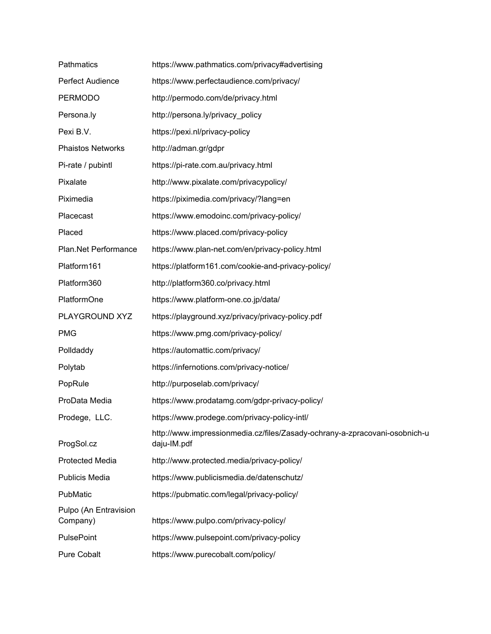| Pathmatics                        | https://www.pathmatics.com/privacy#advertising                                            |
|-----------------------------------|-------------------------------------------------------------------------------------------|
| Perfect Audience                  | https://www.perfectaudience.com/privacy/                                                  |
| <b>PERMODO</b>                    | http://permodo.com/de/privacy.html                                                        |
| Persona.ly                        | http://persona.ly/privacy_policy                                                          |
| Pexi B.V.                         | https://pexi.nl/privacy-policy                                                            |
| <b>Phaistos Networks</b>          | http://adman.gr/gdpr                                                                      |
| Pi-rate / pubintl                 | https://pi-rate.com.au/privacy.html                                                       |
| Pixalate                          | http://www.pixalate.com/privacypolicy/                                                    |
| Piximedia                         | https://piximedia.com/privacy/?lang=en                                                    |
| Placecast                         | https://www.emodoinc.com/privacy-policy/                                                  |
| Placed                            | https://www.placed.com/privacy-policy                                                     |
| Plan.Net Performance              | https://www.plan-net.com/en/privacy-policy.html                                           |
| Platform161                       | https://platform161.com/cookie-and-privacy-policy/                                        |
| Platform360                       | http://platform360.co/privacy.html                                                        |
| PlatformOne                       | https://www.platform-one.co.jp/data/                                                      |
| PLAYGROUND XYZ                    | https://playground.xyz/privacy/privacy-policy.pdf                                         |
| <b>PMG</b>                        | https://www.pmg.com/privacy-policy/                                                       |
| Polldaddy                         | https://automattic.com/privacy/                                                           |
| Polytab                           | https://infernotions.com/privacy-notice/                                                  |
| PopRule                           | http://purposelab.com/privacy/                                                            |
| ProData Media                     | https://www.prodatamg.com/gdpr-privacy-policy/                                            |
| Prodege, LLC.                     | https://www.prodege.com/privacy-policy-intl/                                              |
| ProgSol.cz                        | http://www.impressionmedia.cz/files/Zasady-ochrany-a-zpracovani-osobnich-u<br>daju-IM.pdf |
| <b>Protected Media</b>            | http://www.protected.media/privacy-policy/                                                |
| Publicis Media                    | https://www.publicismedia.de/datenschutz/                                                 |
| PubMatic                          | https://pubmatic.com/legal/privacy-policy/                                                |
| Pulpo (An Entravision<br>Company) | https://www.pulpo.com/privacy-policy/                                                     |
| PulsePoint                        | https://www.pulsepoint.com/privacy-policy                                                 |
| Pure Cobalt                       | https://www.purecobalt.com/policy/                                                        |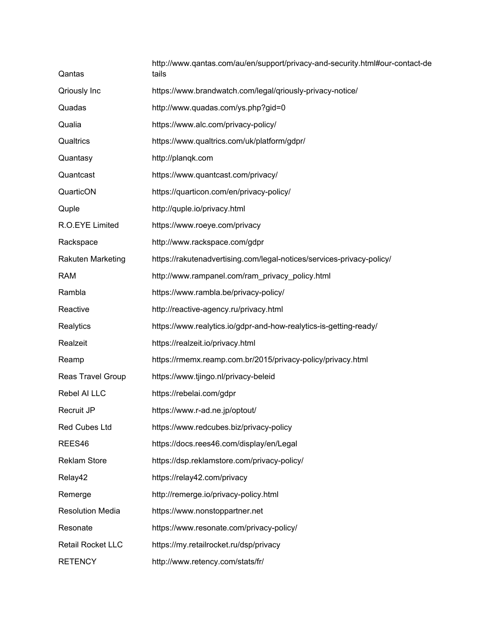| Qantas                   | http://www.qantas.com/au/en/support/privacy-and-security.html#our-contact-de<br>tails |
|--------------------------|---------------------------------------------------------------------------------------|
| Qriously Inc             | https://www.brandwatch.com/legal/qriously-privacy-notice/                             |
| Quadas                   | http://www.quadas.com/ys.php?gid=0                                                    |
| Qualia                   | https://www.alc.com/privacy-policy/                                                   |
| Qualtrics                | https://www.qualtrics.com/uk/platform/gdpr/                                           |
| Quantasy                 | http://planqk.com                                                                     |
| Quantcast                | https://www.quantcast.com/privacy/                                                    |
| QuarticON                | https://quarticon.com/en/privacy-policy/                                              |
| Quple                    | http://quple.io/privacy.html                                                          |
| R.O.EYE Limited          | https://www.roeye.com/privacy                                                         |
| Rackspace                | http://www.rackspace.com/gdpr                                                         |
| Rakuten Marketing        | https://rakutenadvertising.com/legal-notices/services-privacy-policy/                 |
| <b>RAM</b>               | http://www.rampanel.com/ram_privacy_policy.html                                       |
| Rambla                   | https://www.rambla.be/privacy-policy/                                                 |
| Reactive                 | http://reactive-agency.ru/privacy.html                                                |
| Realytics                | https://www.realytics.io/gdpr-and-how-realytics-is-getting-ready/                     |
| Realzeit                 | https://realzeit.io/privacy.html                                                      |
| Reamp                    | https://rmemx.reamp.com.br/2015/privacy-policy/privacy.html                           |
| Reas Travel Group        | https://www.tjingo.nl/privacy-beleid                                                  |
| Rebel AI LLC             | https://rebelai.com/gdpr                                                              |
| Recruit JP               | https://www.r-ad.ne.jp/optout/                                                        |
| Red Cubes Ltd            | https://www.redcubes.biz/privacy-policy                                               |
| REES46                   | https://docs.rees46.com/display/en/Legal                                              |
| <b>Reklam Store</b>      | https://dsp.reklamstore.com/privacy-policy/                                           |
| Relay42                  | https://relay42.com/privacy                                                           |
| Remerge                  | http://remerge.io/privacy-policy.html                                                 |
| <b>Resolution Media</b>  | https://www.nonstoppartner.net                                                        |
| Resonate                 | https://www.resonate.com/privacy-policy/                                              |
| <b>Retail Rocket LLC</b> | https://my.retailrocket.ru/dsp/privacy                                                |
| <b>RETENCY</b>           | http://www.retency.com/stats/fr/                                                      |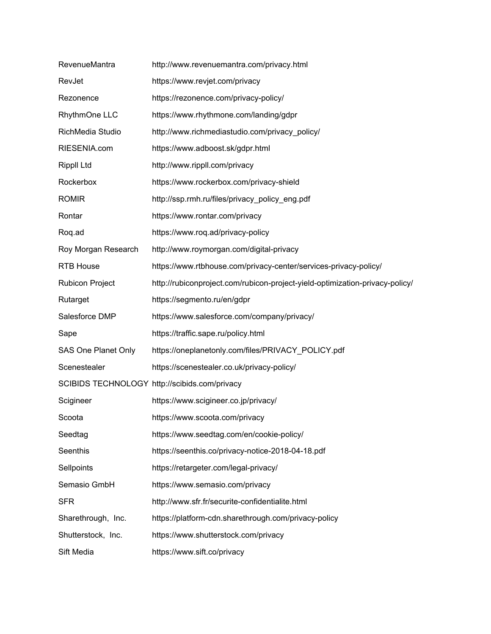| RevenueMantra          | http://www.revenuemantra.com/privacy.html                                    |
|------------------------|------------------------------------------------------------------------------|
| RevJet                 | https://www.revjet.com/privacy                                               |
| Rezonence              | https://rezonence.com/privacy-policy/                                        |
| RhythmOne LLC          | https://www.rhythmone.com/landing/gdpr                                       |
| RichMedia Studio       | http://www.richmediastudio.com/privacy_policy/                               |
| RIESENIA.com           | https://www.adboost.sk/gdpr.html                                             |
| <b>Rippll Ltd</b>      | http://www.rippll.com/privacy                                                |
| Rockerbox              | https://www.rockerbox.com/privacy-shield                                     |
| <b>ROMIR</b>           | http://ssp.rmh.ru/files/privacy_policy_eng.pdf                               |
| Rontar                 | https://www.rontar.com/privacy                                               |
| Roq.ad                 | https://www.roq.ad/privacy-policy                                            |
| Roy Morgan Research    | http://www.roymorgan.com/digital-privacy                                     |
| <b>RTB House</b>       | https://www.rtbhouse.com/privacy-center/services-privacy-policy/             |
| <b>Rubicon Project</b> | http://rubiconproject.com/rubicon-project-yield-optimization-privacy-policy/ |
| Rutarget               | https://segmento.ru/en/gdpr                                                  |
| Salesforce DMP         | https://www.salesforce.com/company/privacy/                                  |
| Sape                   | https://traffic.sape.ru/policy.html                                          |
| SAS One Planet Only    | https://oneplanetonly.com/files/PRIVACY_POLICY.pdf                           |
| Scenestealer           | https://scenestealer.co.uk/privacy-policy/                                   |
|                        | SCIBIDS TECHNOLOGY http://scibids.com/privacy                                |
| Scigineer              | https://www.scigineer.co.jp/privacy/                                         |
| Scoota                 | https://www.scoota.com/privacy                                               |
| Seedtag                | https://www.seedtag.com/en/cookie-policy/                                    |
| Seenthis               | https://seenthis.co/privacy-notice-2018-04-18.pdf                            |
| Sellpoints             | https://retargeter.com/legal-privacy/                                        |
| Semasio GmbH           | https://www.semasio.com/privacy                                              |
| <b>SFR</b>             | http://www.sfr.fr/securite-confidentialite.html                              |
| Sharethrough, Inc.     | https://platform-cdn.sharethrough.com/privacy-policy                         |
| Shutterstock, Inc.     | https://www.shutterstock.com/privacy                                         |
| Sift Media             | https://www.sift.co/privacy                                                  |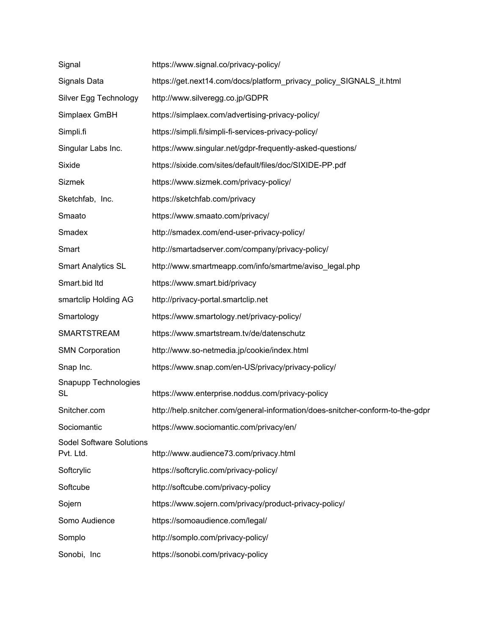| Signal                                       | https://www.signal.co/privacy-policy/                                          |
|----------------------------------------------|--------------------------------------------------------------------------------|
| Signals Data                                 | https://get.next14.com/docs/platform privacy policy SIGNALS it.html            |
| Silver Egg Technology                        | http://www.silveregg.co.jp/GDPR                                                |
| Simplaex GmBH                                | https://simplaex.com/advertising-privacy-policy/                               |
| Simpli.fi                                    | https://simpli.fi/simpli-fi-services-privacy-policy/                           |
| Singular Labs Inc.                           | https://www.singular.net/gdpr-frequently-asked-questions/                      |
| Sixide                                       | https://sixide.com/sites/default/files/doc/SIXIDE-PP.pdf                       |
| <b>Sizmek</b>                                | https://www.sizmek.com/privacy-policy/                                         |
| Sketchfab, Inc.                              | https://sketchfab.com/privacy                                                  |
| Smaato                                       | https://www.smaato.com/privacy/                                                |
| Smadex                                       | http://smadex.com/end-user-privacy-policy/                                     |
| Smart                                        | http://smartadserver.com/company/privacy-policy/                               |
| <b>Smart Analytics SL</b>                    | http://www.smartmeapp.com/info/smartme/aviso_legal.php                         |
| Smart.bid Itd                                | https://www.smart.bid/privacy                                                  |
| smartclip Holding AG                         | http://privacy-portal.smartclip.net                                            |
| Smartology                                   | https://www.smartology.net/privacy-policy/                                     |
| <b>SMARTSTREAM</b>                           | https://www.smartstream.tv/de/datenschutz                                      |
| <b>SMN Corporation</b>                       | http://www.so-netmedia.jp/cookie/index.html                                    |
| Snap Inc.                                    | https://www.snap.com/en-US/privacy/privacy-policy/                             |
| Snapupp Technologies<br><b>SL</b>            | https://www.enterprise.noddus.com/privacy-policy                               |
| Snitcher.com                                 | http://help.snitcher.com/general-information/does-snitcher-conform-to-the-gdpr |
| Sociomantic                                  | https://www.sociomantic.com/privacy/en/                                        |
| <b>Sodel Software Solutions</b><br>Pvt. Ltd. | http://www.audience73.com/privacy.html                                         |
| Softcrylic                                   | https://softcrylic.com/privacy-policy/                                         |
| Softcube                                     | http://softcube.com/privacy-policy                                             |
| Sojern                                       | https://www.sojern.com/privacy/product-privacy-policy/                         |
| Somo Audience                                | https://somoaudience.com/legal/                                                |
| Somplo                                       | http://somplo.com/privacy-policy/                                              |
| Sonobi, Inc                                  | https://sonobi.com/privacy-policy                                              |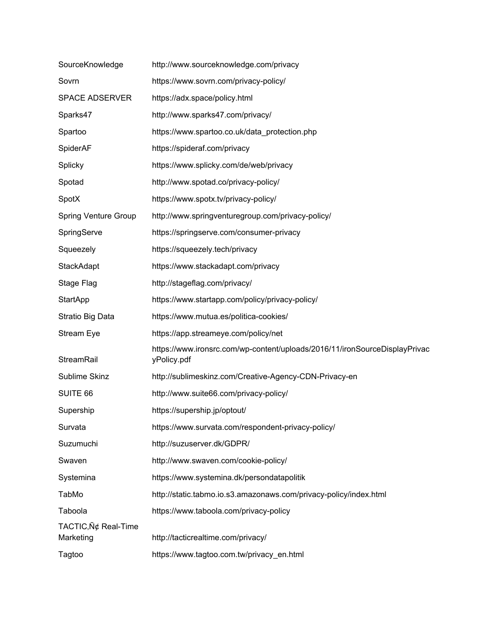| SourceKnowledge                  | http://www.sourceknowledge.com/privacy                                                    |
|----------------------------------|-------------------------------------------------------------------------------------------|
| Sovrn                            | https://www.sovrn.com/privacy-policy/                                                     |
| <b>SPACE ADSERVER</b>            | https://adx.space/policy.html                                                             |
| Sparks47                         | http://www.sparks47.com/privacy/                                                          |
| Spartoo                          | https://www.spartoo.co.uk/data_protection.php                                             |
| SpiderAF                         | https://spideraf.com/privacy                                                              |
| Splicky                          | https://www.splicky.com/de/web/privacy                                                    |
| Spotad                           | http://www.spotad.co/privacy-policy/                                                      |
| SpotX                            | https://www.spotx.tv/privacy-policy/                                                      |
| <b>Spring Venture Group</b>      | http://www.springventuregroup.com/privacy-policy/                                         |
| SpringServe                      | https://springserve.com/consumer-privacy                                                  |
| Squeezely                        | https://squeezely.tech/privacy                                                            |
| <b>StackAdapt</b>                | https://www.stackadapt.com/privacy                                                        |
| Stage Flag                       | http://stageflag.com/privacy/                                                             |
| <b>StartApp</b>                  | https://www.startapp.com/policy/privacy-policy/                                           |
| Stratio Big Data                 | https://www.mutua.es/politica-cookies/                                                    |
| Stream Eye                       | https://app.streameye.com/policy/net                                                      |
| StreamRail                       | https://www.ironsrc.com/wp-content/uploads/2016/11/ironSourceDisplayPrivac<br>yPolicy.pdf |
| Sublime Skinz                    | http://sublimeskinz.com/Creative-Agency-CDN-Privacy-en                                    |
| SUITE 66                         | http://www.suite66.com/privacy-policy/                                                    |
| Supership                        | https://supership.jp/optout/                                                              |
| Survata                          | https://www.survata.com/respondent-privacy-policy/                                        |
| Suzumuchi                        | http://suzuserver.dk/GDPR/                                                                |
| Swaven                           | http://www.swaven.com/cookie-policy/                                                      |
| Systemina                        | https://www.systemina.dk/persondatapolitik                                                |
| TabMo                            | http://static.tabmo.io.s3.amazonaws.com/privacy-policy/index.html                         |
| Taboola                          | https://www.taboola.com/privacy-policy                                                    |
| TACTIC, Ѣ Real-Time<br>Marketing | http://tacticrealtime.com/privacy/                                                        |
| Tagtoo                           | https://www.tagtoo.com.tw/privacy_en.html                                                 |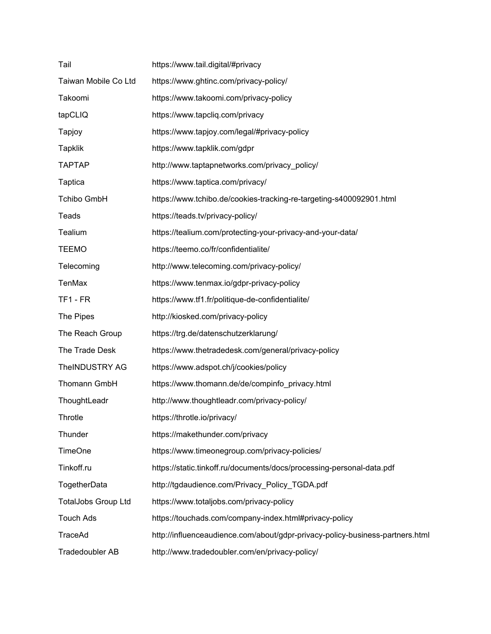| Tail                       | https://www.tail.digital/#privacy                                             |
|----------------------------|-------------------------------------------------------------------------------|
| Taiwan Mobile Co Ltd       | https://www.ghtinc.com/privacy-policy/                                        |
| Takoomi                    | https://www.takoomi.com/privacy-policy                                        |
| tapCLIQ                    | https://www.tapcliq.com/privacy                                               |
| Tapjoy                     | https://www.tapjoy.com/legal/#privacy-policy                                  |
| <b>Tapklik</b>             | https://www.tapklik.com/gdpr                                                  |
| <b>TAPTAP</b>              | http://www.taptapnetworks.com/privacy_policy/                                 |
| Taptica                    | https://www.taptica.com/privacy/                                              |
| <b>Tchibo GmbH</b>         | https://www.tchibo.de/cookies-tracking-re-targeting-s400092901.html           |
| Teads                      | https://teads.tv/privacy-policy/                                              |
| Tealium                    | https://tealium.com/protecting-your-privacy-and-your-data/                    |
| <b>TEEMO</b>               | https://teemo.co/fr/confidentialite/                                          |
| Telecoming                 | http://www.telecoming.com/privacy-policy/                                     |
| <b>TenMax</b>              | https://www.tenmax.io/gdpr-privacy-policy                                     |
| TF1-FR                     | https://www.tf1.fr/politique-de-confidentialite/                              |
| The Pipes                  | http://kiosked.com/privacy-policy                                             |
| The Reach Group            | https://trg.de/datenschutzerklarung/                                          |
| The Trade Desk             | https://www.thetradedesk.com/general/privacy-policy                           |
| TheINDUSTRY AG             | https://www.adspot.ch/j/cookies/policy                                        |
| Thomann GmbH               | https://www.thomann.de/de/compinfo privacy.html                               |
| ThoughtLeadr               | http://www.thoughtleadr.com/privacy-policy/                                   |
| Throtle                    | https://throtle.io/privacy/                                                   |
| Thunder                    | https://makethunder.com/privacy                                               |
| <b>TimeOne</b>             | https://www.timeonegroup.com/privacy-policies/                                |
| Tinkoff.ru                 | https://static.tinkoff.ru/documents/docs/processing-personal-data.pdf         |
| TogetherData               | http://tgdaudience.com/Privacy_Policy_TGDA.pdf                                |
| <b>TotalJobs Group Ltd</b> | https://www.totaljobs.com/privacy-policy                                      |
| <b>Touch Ads</b>           | https://touchads.com/company-index.html#privacy-policy                        |
| TraceAd                    | http://influenceaudience.com/about/gdpr-privacy-policy-business-partners.html |
| Tradedoubler AB            | http://www.tradedoubler.com/en/privacy-policy/                                |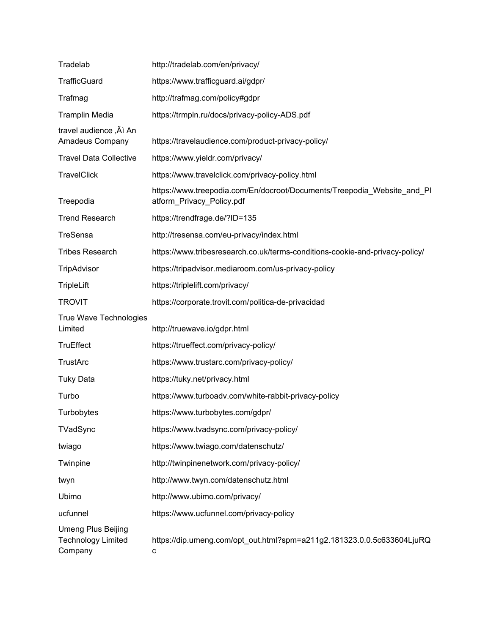| Tradelab                                                          | http://tradelab.com/en/privacy/                                                                      |
|-------------------------------------------------------------------|------------------------------------------------------------------------------------------------------|
| <b>TrafficGuard</b>                                               | https://www.trafficguard.ai/gdpr/                                                                    |
| Trafmag                                                           | http://trafmag.com/policy#gdpr                                                                       |
| <b>Tramplin Media</b>                                             | https://trmpln.ru/docs/privacy-policy-ADS.pdf                                                        |
| travel audience , Äì An<br>Amadeus Company                        | https://travelaudience.com/product-privacy-policy/                                                   |
| <b>Travel Data Collective</b>                                     | https://www.yieldr.com/privacy/                                                                      |
| <b>TravelClick</b>                                                | https://www.travelclick.com/privacy-policy.html                                                      |
| Treepodia                                                         | https://www.treepodia.com/En/docroot/Documents/Treepodia_Website_and_PI<br>atform_Privacy_Policy.pdf |
| <b>Trend Research</b>                                             | https://trendfrage.de/?ID=135                                                                        |
| TreSensa                                                          | http://tresensa.com/eu-privacy/index.html                                                            |
| <b>Tribes Research</b>                                            | https://www.tribesresearch.co.uk/terms-conditions-cookie-and-privacy-policy/                         |
| TripAdvisor                                                       | https://tripadvisor.mediaroom.com/us-privacy-policy                                                  |
| <b>TripleLift</b>                                                 | https://triplelift.com/privacy/                                                                      |
| <b>TROVIT</b>                                                     | https://corporate.trovit.com/politica-de-privacidad                                                  |
| True Wave Technologies<br>Limited                                 | http://truewave.io/gdpr.html                                                                         |
| <b>TruEffect</b>                                                  | https://trueffect.com/privacy-policy/                                                                |
| <b>TrustArc</b>                                                   | https://www.trustarc.com/privacy-policy/                                                             |
| <b>Tuky Data</b>                                                  | https://tuky.net/privacy.html                                                                        |
| Turbo                                                             | https://www.turboadv.com/white-rabbit-privacy-policy                                                 |
| Turbobytes                                                        | https://www.turbobytes.com/gdpr/                                                                     |
| TVadSync                                                          | https://www.tvadsync.com/privacy-policy/                                                             |
| twiago                                                            | https://www.twiago.com/datenschutz/                                                                  |
| Twinpine                                                          | http://twinpinenetwork.com/privacy-policy/                                                           |
| twyn                                                              | http://www.twyn.com/datenschutz.html                                                                 |
| Ubimo                                                             | http://www.ubimo.com/privacy/                                                                        |
| ucfunnel                                                          | https://www.ucfunnel.com/privacy-policy                                                              |
| <b>Umeng Plus Beijing</b><br><b>Technology Limited</b><br>Company | https://dip.umeng.com/opt_out.html?spm=a211g2.181323.0.0.5c633604LjuRQ<br>с                          |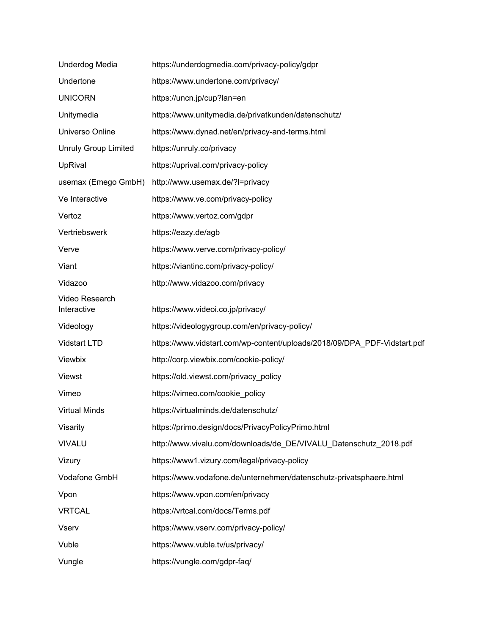| Underdog Media                | https://underdogmedia.com/privacy-policy/gdpr                            |
|-------------------------------|--------------------------------------------------------------------------|
| Undertone                     | https://www.undertone.com/privacy/                                       |
| <b>UNICORN</b>                | https://uncn.jp/cup?lan=en                                               |
| Unitymedia                    | https://www.unitymedia.de/privatkunden/datenschutz/                      |
| Universo Online               | https://www.dynad.net/en/privacy-and-terms.html                          |
| <b>Unruly Group Limited</b>   | https://unruly.co/privacy                                                |
| UpRival                       | https://uprival.com/privacy-policy                                       |
| usemax (Emego GmbH)           | http://www.usemax.de/?l=privacy                                          |
| Ve Interactive                | https://www.ve.com/privacy-policy                                        |
| Vertoz                        | https://www.vertoz.com/gdpr                                              |
| Vertriebswerk                 | https://eazy.de/agb                                                      |
| Verve                         | https://www.verve.com/privacy-policy/                                    |
| Viant                         | https://viantinc.com/privacy-policy/                                     |
| Vidazoo                       | http://www.vidazoo.com/privacy                                           |
| Video Research<br>Interactive | https://www.videoi.co.jp/privacy/                                        |
| Videology                     | https://videologygroup.com/en/privacy-policy/                            |
| Vidstart LTD                  | https://www.vidstart.com/wp-content/uploads/2018/09/DPA_PDF-Vidstart.pdf |
| Viewbix                       | http://corp.viewbix.com/cookie-policy/                                   |
| <b>Viewst</b>                 | https://old.viewst.com/privacy_policy                                    |
| Vimeo                         | https://vimeo.com/cookie_policy                                          |
| <b>Virtual Minds</b>          | https://virtualminds.de/datenschutz/                                     |
| Visarity                      | https://primo.design/docs/PrivacyPolicyPrimo.html                        |
| <b>VIVALU</b>                 | http://www.vivalu.com/downloads/de DE/VIVALU Datenschutz 2018.pdf        |
| Vizury                        | https://www1.vizury.com/legal/privacy-policy                             |
| Vodafone GmbH                 | https://www.vodafone.de/unternehmen/datenschutz-privatsphaere.html       |
| Vpon                          | https://www.vpon.com/en/privacy                                          |
| <b>VRTCAL</b>                 | https://vrtcal.com/docs/Terms.pdf                                        |
| <b>Vserv</b>                  | https://www.vserv.com/privacy-policy/                                    |
| Vuble                         | https://www.vuble.tv/us/privacy/                                         |
| Vungle                        | https://vungle.com/gdpr-faq/                                             |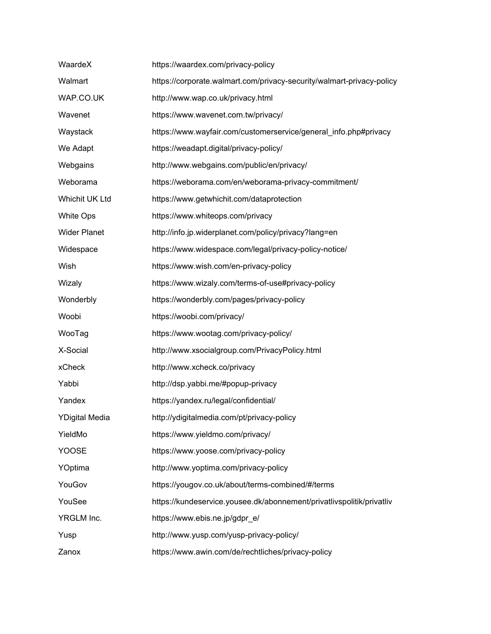| WaardeX               | https://waardex.com/privacy-policy                                    |
|-----------------------|-----------------------------------------------------------------------|
| Walmart               | https://corporate.walmart.com/privacy-security/walmart-privacy-policy |
| WAP.CO.UK             | http://www.wap.co.uk/privacy.html                                     |
| Wavenet               | https://www.wavenet.com.tw/privacy/                                   |
| Waystack              | https://www.wayfair.com/customerservice/general_info.php#privacy      |
| We Adapt              | https://weadapt.digital/privacy-policy/                               |
| Webgains              | http://www.webgains.com/public/en/privacy/                            |
| Weborama              | https://weborama.com/en/weborama-privacy-commitment/                  |
| Whichit UK Ltd        | https://www.getwhichit.com/dataprotection                             |
| <b>White Ops</b>      | https://www.whiteops.com/privacy                                      |
| <b>Wider Planet</b>   | http://info.jp.widerplanet.com/policy/privacy?lang=en                 |
| Widespace             | https://www.widespace.com/legal/privacy-policy-notice/                |
| Wish                  | https://www.wish.com/en-privacy-policy                                |
| Wizaly                | https://www.wizaly.com/terms-of-use#privacy-policy                    |
| Wonderbly             | https://wonderbly.com/pages/privacy-policy                            |
| Woobi                 | https://woobi.com/privacy/                                            |
| WooTag                | https://www.wootag.com/privacy-policy/                                |
| X-Social              | http://www.xsocialgroup.com/PrivacyPolicy.html                        |
| xCheck                | http://www.xcheck.co/privacy                                          |
| Yabbi                 | http://dsp.yabbi.me/#popup-privacy                                    |
| Yandex                | https://yandex.ru/legal/confidential/                                 |
| <b>YDigital Media</b> | http://ydigitalmedia.com/pt/privacy-policy                            |
| YieldMo               | https://www.yieldmo.com/privacy/                                      |
| <b>YOOSE</b>          | https://www.yoose.com/privacy-policy                                  |
| YOptima               | http://www.yoptima.com/privacy-policy                                 |
| YouGov                | https://yougov.co.uk/about/terms-combined/#/terms                     |
| YouSee                | https://kundeservice.yousee.dk/abonnement/privatlivspolitik/privatliv |
| YRGLM Inc.            | https://www.ebis.ne.jp/gdpr_e/                                        |
| Yusp                  | http://www.yusp.com/yusp-privacy-policy/                              |
| Zanox                 | https://www.awin.com/de/rechtliches/privacy-policy                    |